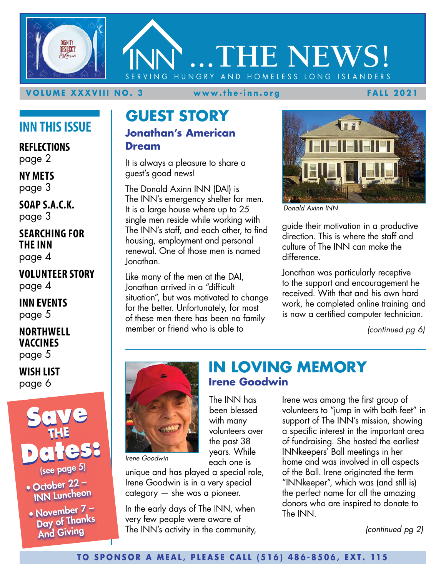

#### **VOLUME XXXVIII NO. 3 www.the-inn.org FALL 2021**

### **INN THIS ISSUE**

**REFLECTIONS** page 2

**NY METS** page 3

**SOAP S.A.C.K.** page 3

#### **SEARCHING FOR THE INN** page 4

**VOLUNTEER STORY**  page 4

**INN EVENTS** page 5

**NORTHWELL VACCINES**  page 5

**WISH LIST** page 6



• October  $22 -$ INN Luncheon

• November  $7 - 7$ Day of Thanks And Giving

#### **GUEST STORY Jonathan's American Dream**

It is always a pleasure to share a guest's good news!

The Donald Axinn INN (DAI) is The INN's emergency shelter for men. It is a large house where up to 25 single men reside while working with The INN's staff, and each other, to find housing, employment and personal renewal. One of those men is named Jonathan.

Like many of the men at the DAI, Jonathan arrived in a "difficult situation", but was motivated to change for the better. Unfortunately, for most of these men there has been no family member or friend who is able to



*Donald Axinn INN*

guide their motivation in a productive direction. This is where the staff and culture of The INN can make the difference.

Jonathan was particularly receptive to the support and encouragement he received. With that and his own hard work, he completed online training and is now a certified computer technician.

*(continued pg 6)*



*Irene Goodwin*

unique and has played a special role, Irene Goodwin is in a very special category — she was a pioneer.

In the early days of The INN, when very few people were aware of The INN's activity in the community,

### **IN LOVING MEMORY Irene Goodwin**

Irene was among the first group of volunteers to "jump in with both feet" in support of The INN's mission, showing a specific interest in the important area of fundraising. She hosted the earliest INNkeepers' Ball meetings in her home and was involved in all aspects of the Ball. Irene originated the term "INNkeeper", which was (and still is) the perfect name for all the amazing donors who are inspired to donate to The INN.

*(continued pg 2)*

The INN has been blessed with many volunteers over the past 38 years. While each one is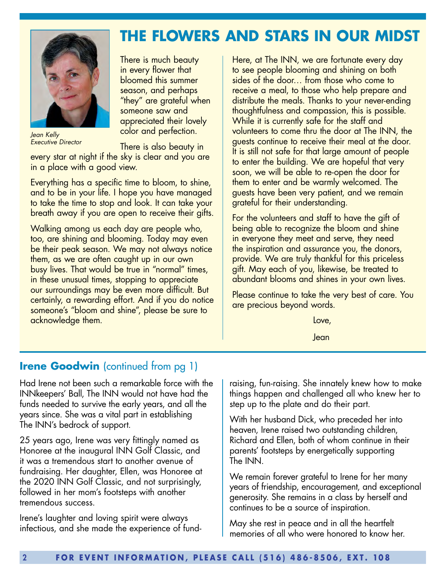

*Jean Kelly Executive Director* 

There is much beauty in every flower that bloomed this summer season, and perhaps "they" are grateful when someone saw and appreciated their lovely color and perfection.

There is also beauty in

every star at night if the sky is clear and you are in a place with a good view.

Everything has a specific time to bloom, to shine, and to be in your life. I hope you have managed to take the time to stop and look. It can take your breath away if you are open to receive their gifts.

Walking among us each day are people who, too, are shining and blooming. Today may even be their peak season. We may not always notice them, as we are often caught up in our own busy lives. That would be true in "normal" times, in these unusual times, stopping to appreciate our surroundings may be even more difficult. But certainly, a rewarding effort. And if you do notice someone's "bloom and shine", please be sure to acknowledge them.

Here, at The INN, we are fortunate every day to see people blooming and shining on both sides of the door… from those who come to receive a meal, to those who help prepare and distribute the meals. Thanks to your never-ending thoughtfulness and compassion, this is possible. While it is currently safe for the staff and volunteers to come thru the door at The INN, the guests continue to receive their meal at the door. It is still not safe for that large amount of people to enter the building. We are hopeful that very soon, we will be able to re-open the door for them to enter and be warmly welcomed. The guests have been very patient, and we remain grateful for their understanding.

**THE FLOWERS AND STARS IN OUR MIDST**

For the volunteers and staff to have the gift of being able to recognize the bloom and shine in everyone they meet and serve, they need the inspiration and assurance you, the donors, provide. We are truly thankful for this priceless gift. May each of you, likewise, be treated to abundant blooms and shines in your own lives.

Please continue to take the very best of care. You are precious beyond words.

Love,

Jean

#### **Irene Goodwin** (continued from pg 1)

Had Irene not been such a remarkable force with the INNkeepers' Ball, The INN would not have had the funds needed to survive the early years, and all the years since. She was a vital part in establishing The INN's bedrock of support.

25 years ago, Irene was very fittingly named as Honoree at the inaugural INN Golf Classic, and it was a tremendous start to another avenue of fundraising. Her daughter, Ellen, was Honoree at the 2020 INN Golf Classic, and not surprisingly, followed in her mom's footsteps with another tremendous success.

Irene's laughter and loving spirit were always infectious, and she made the experience of fundraising, fun-raising. She innately knew how to make things happen and challenged all who knew her to step up to the plate and do their part.

With her husband Dick, who preceded her into heaven, Irene raised two outstanding children, Richard and Ellen, both of whom continue in their parents' footsteps by energetically supporting The INN.

We remain forever grateful to Irene for her many years of friendship, encouragement, and exceptional generosity. She remains in a class by herself and continues to be a source of inspiration.

May she rest in peace and in all the heartfelt memories of all who were honored to know her.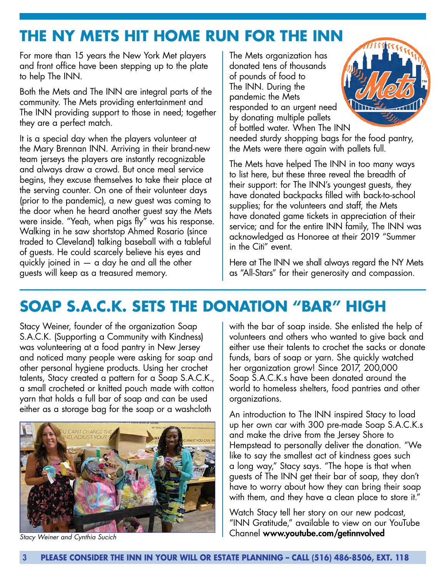### **THE NY METS HIT HOME RUN FOR THE INN**

For more than 15 years the New York Met players and front office have been stepping up to the plate to help The INN.

Both the Mets and The INN are integral parts of the community. The Mets providing entertainment and The INN providing support to those in need; together they are a perfect match.

It is a special day when the players volunteer at the Mary Brennan INN. Arriving in their brand-new team jerseys the players are instantly recognizable and always draw a crowd. But once meal service begins, they excuse themselves to take their place at the serving counter. On one of their volunteer days (prior to the pandemic), a new guest was coming to the door when he heard another guest say the Mets were inside. "Yeah, when pigs fly" was his response. Walking in he saw shortstop Ahmed Rosario (since traded to Cleveland) talking baseball with a tableful of guests. He could scarcely believe his eyes and quickly joined in — a day he and all the other guests will keep as a treasured memory.

The Mets organization has donated tens of thousands of pounds of food to The INN. During the pandemic the Mets responded to an urgent need by donating multiple pallets of bottled water. When The INN



needed sturdy shopping bags for the food pantry, the Mets were there again with pallets full.

The Mets have helped The INN in too many ways to list here, but these three reveal the breadth of their support: for The INN's youngest guests, they have donated backpacks filled with back-to-school supplies; for the volunteers and staff, the Mets have donated game tickets in appreciation of their service; and for the entire INN family, The INN was acknowledged as Honoree at their 2019 "Summer in the Citi" event.

Here at The INN we shall always regard the NY Mets as "All-Stars" for their generosity and compassion.

## **SOAP S.A.C.K. SETS THE DONATION "BAR" HIGH**

Stacy Weiner, founder of the organization Soap S.A.C.K. (Supporting a Community with Kindness) was volunteering at a food pantry in New Jersey and noticed many people were asking for soap and other personal hygiene products. Using her crochet talents, Stacy created a pattern for a Soap S.A.C.K., a small crocheted or knitted pouch made with cotton yarn that holds a full bar of soap and can be used either as a storage bag for the soap or a washcloth



with the bar of soap inside. She enlisted the help of volunteers and others who wanted to give back and either use their talents to crochet the sacks or donate funds, bars of soap or yarn. She quickly watched her organization grow! Since 2017, 200,000 Soap S.A.C.K.s have been donated around the world to homeless shelters, food pantries and other organizations.

An introduction to The INN inspired Stacy to load up her own car with 300 pre-made Soap S.A.C.K.s and make the drive from the Jersey Shore to Hempstead to personally deliver the donation. "We like to say the smallest act of kindness goes such a long way," Stacy says. "The hope is that when guests of The INN get their bar of soap, they don't have to worry about how they can bring their soap with them, and they have a clean place to store it."

Watch Stacy tell her story on our new podcast, "INN Gratitude," available to view on our YouTube Channel www.youtube.com/getinnvolved *Stacy Weiner and Cynthia Sucich*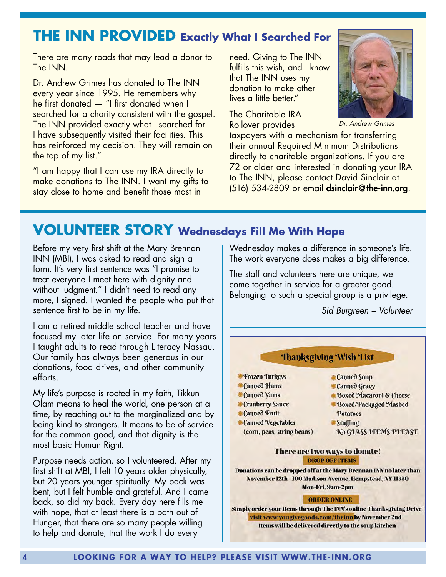### **THE INN PROVIDED Exactly What I Searched For**

There are many roads that may lead a donor to The INN.

Dr. Andrew Grimes has donated to The INN every year since 1995. He remembers why he first donated — "I first donated when I searched for a charity consistent with the gospel. The INN provided exactly what I searched for. I have subsequently visited their facilities. This has reinforced my decision. They will remain on the top of my list."

"I am happy that I can use my IRA directly to make donations to The INN. I want my gifts to stay close to home and benefit those most in

need. Giving to The INN fulfills this wish, and I know that The INN uses my donation to make other lives a little better."

The Charitable IRA Rollover provides



*Dr. Andrew Grimes*

taxpayers with a mechanism for transferring their annual Required Minimum Distributions directly to charitable organizations. If you are 72 or older and interested in donating your IRA to The INN, please contact David Sinclair at  $(516)$  534-2809 or email dsinclair@the-inn.org.

### **VOLUNTEER STORY Wednesdays Fill Me With Hope**

Before my very first shift at the Mary Brennan INN (MBI), I was asked to read and sign a form. It's very first sentence was "I promise to treat everyone I meet here with dignity and without judgment." I didn't need to read any more, I signed. I wanted the people who put that sentence first to be in my life.

I am a retired middle school teacher and have focused my later life on service. For many years I taught adults to read through Literacy Nassau. Our family has always been generous in our donations, food drives, and other community efforts.

My life's purpose is rooted in my faith, Tikkun Olam means to heal the world, one person at a time, by reaching out to the marginalized and by being kind to strangers. It means to be of service for the common good, and that dignity is the most basic Human Right.

Purpose needs action, so I volunteered. After my first shift at MBI, I felt 10 years older physically, but 20 years younger spiritually. My back was bent, but I felt humble and grateful. And I came back, so did my back. Every day here fills me with hope, that at least there is a path out of Hunger, that there are so many people willing to help and donate, that the work I do every

Wednesday makes a difference in someone's life. The work everyone does makes a big difference.

The staff and volunteers here are unique, we come together in service for a greater good. Belonging to such a special group is a privilege.

*Sid Burgreen – Volunteer*

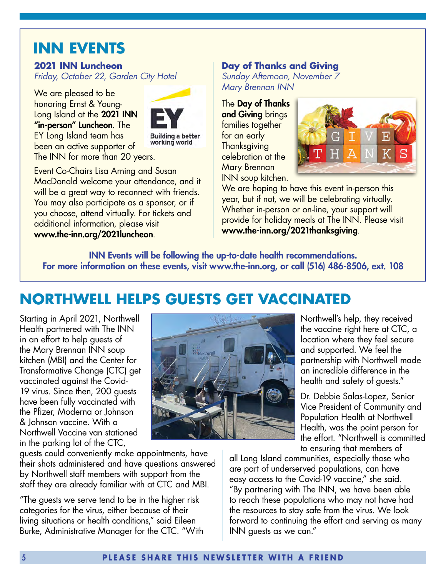### **INN EVENTS**

#### **2021 INN Luncheon**

*Friday, October 22, Garden City Hotel* 

We are pleased to be honoring Ernst & Young-Long Island at the 2021 INN "in-person" Luncheon. The EY Long Island team has been an active supporter of The INN for more than 20 years.



**Building a better** working world

Event Co-Chairs Lisa Arning and Susan MacDonald welcome your attendance, and it will be a great way to reconnect with friends. You may also participate as a sponsor, or if you choose, attend virtually. For tickets and additional information, please visit www.the-inn.org/2021luncheon.

#### **Day of Thanks and Giving**

*Sunday Afternoon, November 7 Mary Brennan INN*

The Day of Thanks and Giving brings families together for an early **Thanksgiving** celebration at the Mary Brennan INN soup kitchen.



We are hoping to have this event in-person this year, but if not, we will be celebrating virtually. Whether in-person or on-line, your support will provide for holiday meals at The INN. Please visit www.the-inn.org/2021thanksgiving.

INN Events will be following the up-to-date health recommendations. For more information on these events, visit www.the-inn.org, or call (516) 486-8506, ext. 108

### **NORTHWELL HELPS GUESTS GET VACCINATED**

Starting in April 2021, Northwell Health partnered with The INN in an effort to help guests of the Mary Brennan INN soup kitchen (MBI) and the Center for Transformative Change (CTC) get vaccinated against the Covid-19 virus. Since then, 200 guests have been fully vaccinated with the Pfizer, Moderna or Johnson & Johnson vaccine. With a Northwell Vaccine van stationed in the parking lot of the CTC,

guests could conveniently make appointments, have their shots administered and have questions answered by Northwell staff members with support from the staff they are already familiar with at CTC and MBI.

"The guests we serve tend to be in the higher risk categories for the virus, either because of their living situations or health conditions," said Eileen Burke, Administrative Manager for the CTC. "With



Northwell's help, they received the vaccine right here at CTC, a location where they feel secure and supported. We feel the partnership with Northwell made an incredible difference in the health and safety of guests."

Dr. Debbie Salas-Lopez, Senior Vice President of Community and Population Health at Northwell Health, was the point person for the effort. "Northwell is committed to ensuring that members of

all Long Island communities, especially those who are part of underserved populations, can have easy access to the Covid-19 vaccine," she said. "By partnering with The INN, we have been able to reach these populations who may not have had the resources to stay safe from the virus. We look forward to continuing the effort and serving as many INN guests as we can."